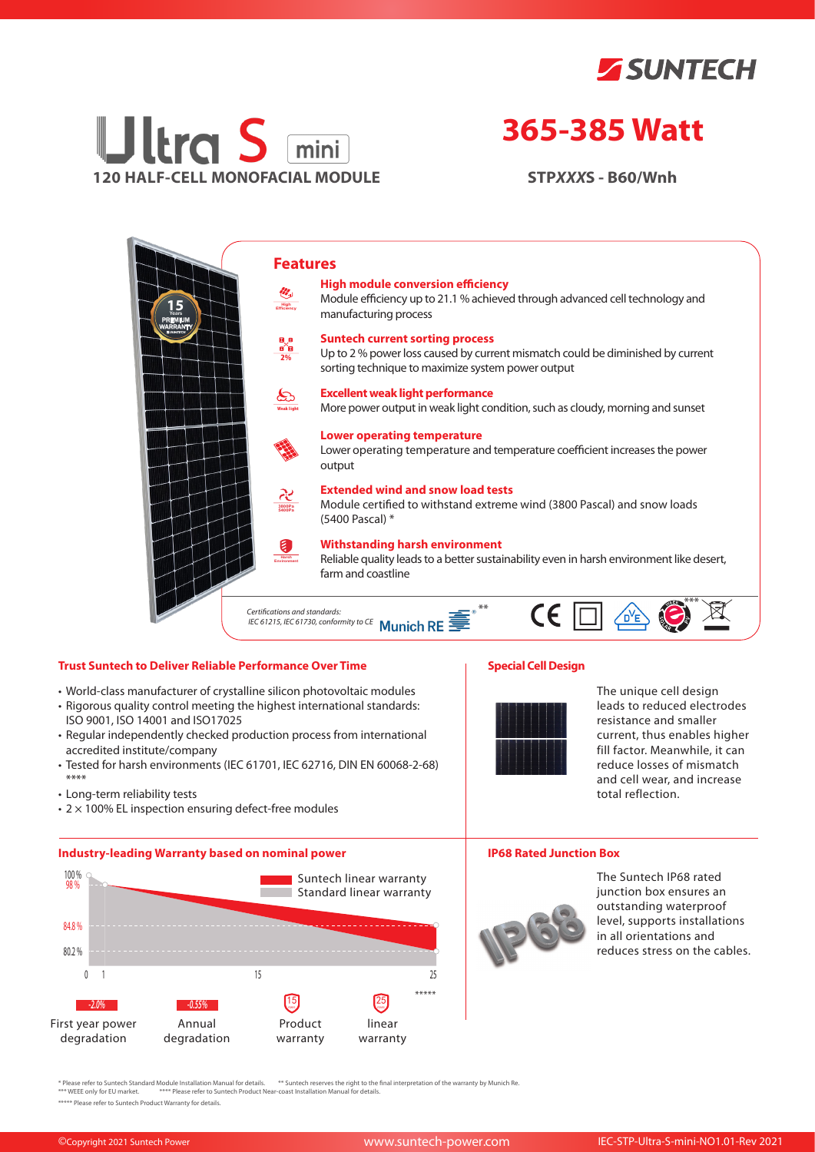



# **365-385 Watt**

**STP***XXX***S - B60/Wnh**



## **Trust Suntech to Deliver Reliable Performance Over Time**

- World-class manufacturer of crystalline silicon photovoltaic modules
- Rigorous quality control meeting the highest international standards: ISO 9001, ISO 14001 and ISO17025
- Regular independently checked production process from international accredited institute/company
- Tested for harsh environments (IEC 61701, IEC 62716, DIN EN 60068-2-68) \*\*\*\*
- Long-term reliability tests
- $\cdot$  2  $\times$  100% EL inspection ensuring defect-free modules

## **Industry-leading Warranty based on nominal power**



# **Special Cell Design**



The unique cell design leads to reduced electrodes resistance and smaller current, thus enables higher fill factor. Meanwhile, it can reduce losses of mismatch and cell wear, and increase total reflection.

#### **IP68 Rated Junction Box**



The Suntech IP68 rated junction box ensures an outstanding waterproof level, supports installations in all orientations and reduces stress on the cables.

\* Please refer to Suntech Standard Module Installation Manual for details. \*\* Suntech reserves the right to the final interpretation of the warranty by Munich Re.<br>\*\*\* WEEE only for EU market. \*\*\*\* Please refer to Suntech P

\*\*\*\*\* Please refer to Suntech Product Warranty for details.